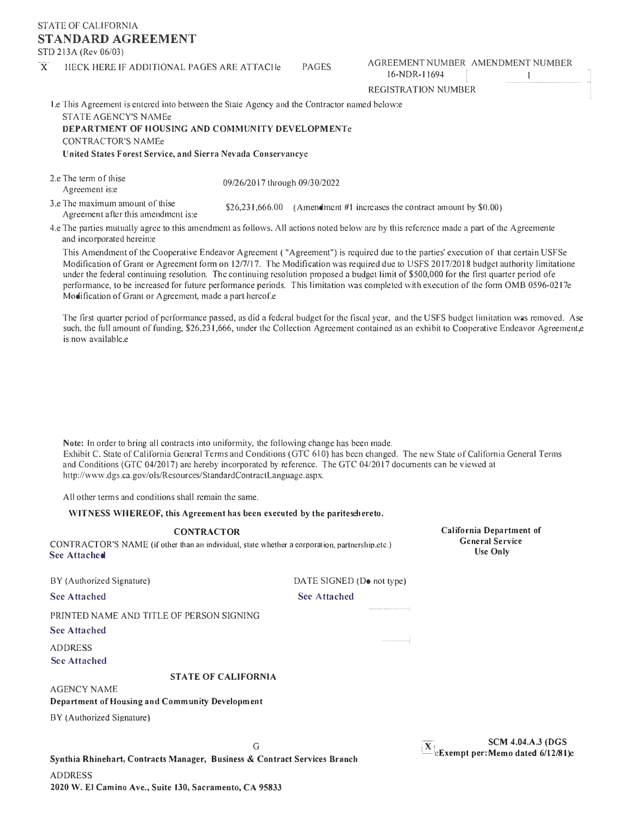# STATE OF CALIFORNIA **STANDARD AGREEMENT**

STD 213A (Rev 06/03)

#### $\overline{X}$  HECK HERE IF ADDITIONAL PAGES ARE ATTACHE PAGES AGREEMENT NUMBER AMENDMENT NUMBER 16-NDR-11694

l

REGISTRATION NUMBER

Le This Agreement is entered into between the State Agency and the Contractor named below: STATE AGENCY'S NAMEe

DEPARTMENT OF HOUSlNG AND COMMUNITY DEVELOPMENTe CONTRACTOR'S NAMEe United States Forest Service, and Sierra Nevada Conservancye

| 2.e The term of thise          | 09/26/2017 through 09/30/2022 |
|--------------------------------|-------------------------------|
| Agreement is:e                 |                               |
| 2. The movimum amount of thice |                               |

3.e The maximum amount of thise<br>Agreement after this amendment is:e  $$26,231,666.00$  (Amendment #1 increases the contract amount by \$0.00)

4.e The parties mutually agree to this amendment as follows. All actions noted below are by this reference made a part of the Agreemente and incorporated herein:e

This Amendment of the Cooperative Endeavor Agreement ( "Agreement") is required due to the parties' execution of that certain USFSe Modification of Grant or Agreement form on 12/7/17. The Modification was required due to USFS 2017/2018 budget authority limitatione under the federal continuing resolution. The continuing resolution proposed a budget limit of \$500,000 for the first quarter period ofe perfonnance, to be increased for future performance periods. This limitation was completed with execution of the form 0MB 0596-0217e Modification of Grant or Agreement, made a part hereof.e

The first quarter period of performance passed, as did a federal budget for the fiscal year, and the USFS budget limitation was removed. Ase such, the full amount of funding, \$26,231,666, under the Collection Agreement contained as an exhibit to Cooperative Endeavor Agreement,e is now available.e

Note: In order to bring all contracts into uniformity, the following change has been made. Exhibit C. State of California General Tenns and Conditions (OTC 610) has been changed. The new State of California General Terms and Conditions (OTC 04/2017) are hereby incorporated by reference. The OTC 04/2017 documents can be viewed at [http://www.dgs.ca.gov/ols/Resources/StandardContractLanguage.aspx.](http://www.dgs.ca.gov/ols/Resources/StandardContractLanguage.aspx)

All other terms and conditions shall remain the same.

# WITNESS WHEREOF, this Agreement has been executed by the paritesehereto.

CONTRACTOR California Department of CONTRACTOR'S NAME (if other than an individual, state whether a corporation, partnership,etc.) Use Only Use Only

BY (Authorized Signature) DATE SIGNED (Do not type)

-----i

 $\overline{\phantom{a}}$ 

See Attached See Attached See Attached

PRINTED NAME AND TITLE OF PERSON SIGNING

See Attached

ADDRESS

See Attached

### **STATE OF CALlFORNIA**

AGENCY NAME

Department of Housing and Community Development

BY (Authorized Signature)

SCM 4.04.A.3 (DGS of the Exempt per:Memo dated 6/12/81)e Synthia Rhinehart, Contracts Manager, Business & Contract Services Branch

ADDRESS **2020 W. El Camino Ave., Suite 130, Sacramento, CA 95833**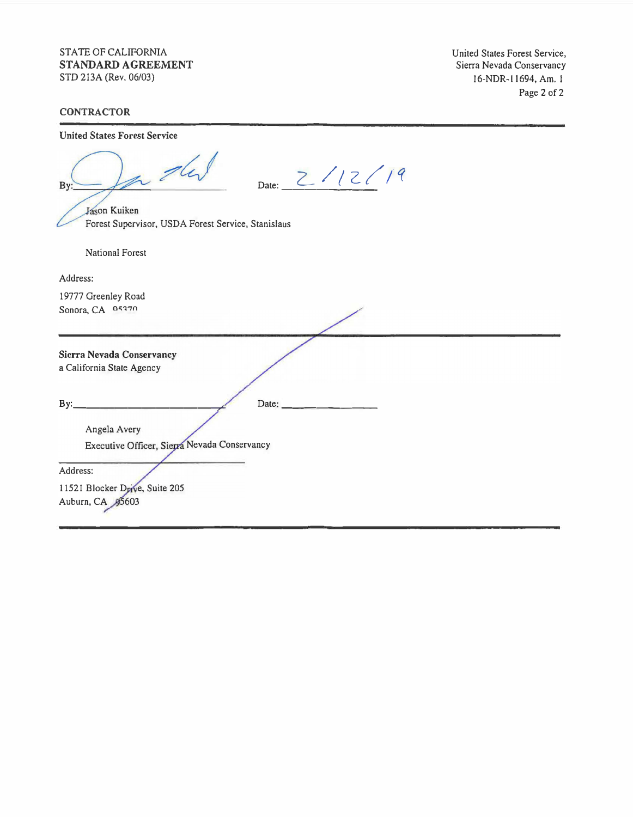## STATE OF CALIFORNIA **STANDARD AGREEMENT**  STD 213A (Rev. 06/03)

United States Forest Service, Sierra Nevada Conservancy 16-NDR-11694, Am. I Page 2 of 2

# **CONTRACTOR**

United States Forest Service

| In the<br>Date: $2/12/19$<br>By:                                   |
|--------------------------------------------------------------------|
| Jason Kuiken<br>Forest Supervisor, USDA Forest Service, Stanislaus |
|                                                                    |
| <b>National Forest</b>                                             |
| Address:                                                           |
| 19777 Greenley Road                                                |
| Sonora, CA 05370                                                   |
|                                                                    |
| Sierra Nevada Conservancy                                          |
| a California State Agency                                          |
|                                                                    |
| By:<br>Date:                                                       |
|                                                                    |
| Angela Avery                                                       |
| Executive Officer, Sierra Nevada Conservancy                       |
|                                                                    |
| Address:                                                           |
| 11521 Blocker Drive, Suite 205                                     |
| Auburn, CA 95603                                                   |
|                                                                    |